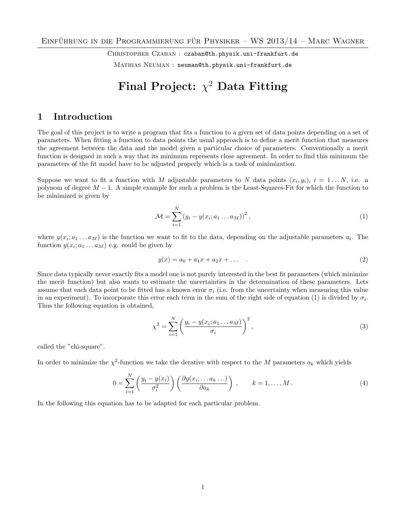CHRISTOPHER CZABAN : [czaban@th.physik.uni-frankfurt.de](mailto:czaban@th.physik.uni-frankfurt.de) MATHIAS NEUMAN : [neuman@th.physik.uni-frankfurt.de](mailto:neuman@th.physik.uni-frankfurt.de)

# Final Project:  $\chi^2$  Data Fitting

### 1 Introduction

The goal of this project is to write a program that fits a function to a given set of data points depending on a set of parameters. When fitting a function to data points the usual approach is to define a merit function that measures the agreement between the data and the model given a particular choice of parameters. Conventionally a merit function is designed in such a way that its minimum represents close agreement. In order to find this minimum the parameters of the fit model have to be adjusted properly which is a task of minimization.

Suppose we want to fit a function with M adjustable parameters to N data points  $(x_i, y_i)$ ,  $i = 1...N$ , i.e. a polynom of degree  $M-1$ . A simple example for such a problem is the Least-Squares-Fit for which the function to be minimized is given by

<span id="page-0-0"></span>
$$
\mathcal{M} = \sum_{i=1}^{N} (y_i - y(x_i; a_1 \dots a_M))^2, \qquad (1)
$$

where  $y(x_i; a_1... a_M)$  is the function we want to fit to the data, depending on the adjustable parameters  $a_i$ . The function  $y(x_i; a_1 \dots a_M)$  e.g. could be given by

$$
y(x) = a_0 + a_1 x + a_2 x + \dots
$$
 (2)

Since data typically never exactly fits a model one is not purely interested in the best fit parameters (which minimize the merit function) but also wants to estimate the uncertainties in the determination of these parameters. Lets assume that each data point to be fitted has a known error  $\sigma_i$  (i.e. from the uncertainty when measuring this value in an experiment). To incorporate this error each term in the sum of the right side of equation [\(1\)](#page-0-0) is divided by  $\sigma_i$ . Thus the following equation is obtained,

<span id="page-0-1"></span>
$$
\chi^{2} = \sum_{i=1}^{N} \left( \frac{y_{i} - y(x_{i}; a_{1} \dots a_{M})}{\sigma_{i}} \right)^{2}, \tag{3}
$$

called the "chi-square".

In order to minimize the  $\chi^2$ -function we take the derative with respect to the M parameters  $a_k$  which yields

$$
0 = \sum_{i=1}^{N} \left( \frac{y_i - y(x_i)}{\sigma_i^2} \right) \left( \frac{\partial y(x_i; \dots a_k \dots)}{\partial a_k} \right) , \qquad k = 1, \dots, M.
$$
 (4)

In the following this equation has to be adapted for each particular problem.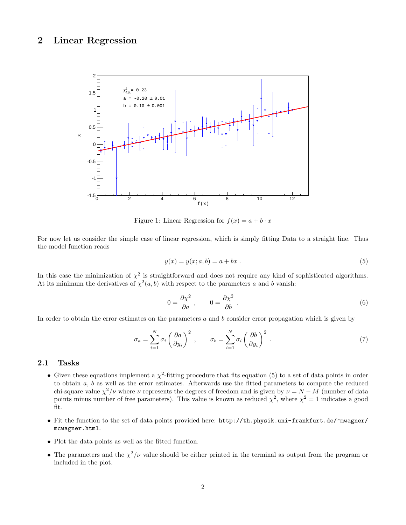## 2 Linear Regression



Figure 1: Linear Regression for  $f(x) = a + b \cdot x$ 

For now let us consider the simple case of linear regression, which is simply fitting Data to a straight line. Thus the model function reads

<span id="page-1-0"></span>
$$
y(x) = y(x; a, b) = a + bx.
$$
 (5)

In this case the minimization of  $\chi^2$  is straightforward and does not require any kind of sophisticated algorithms. At its minimum the derivatives of  $\chi^2(a, b)$  with respect to the parameters a and b vanish:

<span id="page-1-1"></span>
$$
0 = \frac{\partial \chi^2}{\partial a}, \qquad 0 = \frac{\partial \chi^2}{\partial b}.
$$
 (6)

In order to obtain the error estimates on the parameters a and b consider error propagation which is given by

$$
\sigma_a = \sum_{i=1}^N \sigma_i \left(\frac{\partial a}{\partial y_i}\right)^2 , \qquad \sigma_b = \sum_{i=1}^N \sigma_i \left(\frac{\partial b}{\partial y_i}\right)^2 . \tag{7}
$$

#### 2.1 Tasks

- Given these equations implement a  $\chi^2$ -fitting procedure that fits equation [\(5\)](#page-1-0) to a set of data points in order to obtain  $a, b$  as well as the error estimates. Afterwards use the fitted parameters to compute the reduced chi-square value  $\chi^2/\nu$  where  $\nu$  represents the degrees of freedom and is given by  $\nu = N - M$  (number of data points minus number of free parameters). This value is known as reduced  $\chi^2$ , where  $\chi^2 = 1$  indicates a good fit.
- Fit the function to the set of data points provided here: [http://th.physik.uni-frankfurt.de/~mwagner/](http://th.physik.uni-frankfurt.de/~mwagner/mcwagner.html) [mcwagner.html](http://th.physik.uni-frankfurt.de/~mwagner/mcwagner.html).
- Plot the data points as well as the fitted function.
- The parameters and the  $\chi^2/\nu$  value should be either printed in the terminal as output from the program or included in the plot.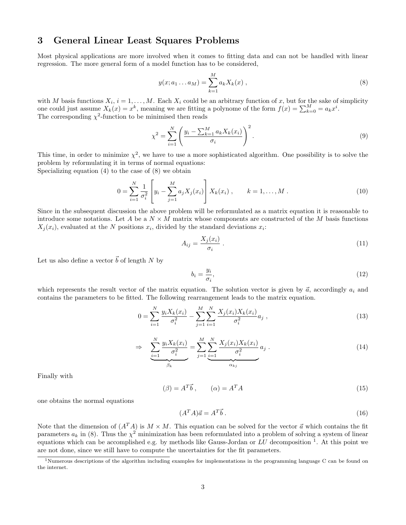# 3 General Linear Least Squares Problems

Most physical applications are more involved when it comes to fitting data and can not be handled with linear regression. The more general form of a model function has to be considered,

<span id="page-2-0"></span>
$$
y(x; a_1 ... a_M) = \sum_{k=1}^{M} a_k X_k(x) , \qquad (8)
$$

with M basis functions  $X_i$ ,  $i = 1, ..., M$ . Each  $X_i$  could be an arbitrary function of x, but for the sake of simplicity one could just assume  $X_k(x) = x^k$ , meaning we are fitting a polynome of the form  $f(x) = \sum_{k=0}^{M} a_k x^i$ . The corresponding  $\chi^2$ -function to be minimised then reads

$$
\chi^2 = \sum_{i=1}^{N} \left( \frac{y_i - \sum_{k=1}^{M} a_k X_k(x_i)}{\sigma_i} \right)^2.
$$
\n(9)

This time, in order to minimize  $\chi^2$ , we have to use a more sophisticated algorithm. One possibility is to solve the problem by reformulating it in terms of normal equations: Specializing equation [\(4\)](#page-0-1) to the case of [\(8\)](#page-2-0) we obtain

$$
0 = \sum_{i=1}^{N} \frac{1}{\sigma_i^2} \left[ y_i - \sum_{j=1}^{M} a_j X_j(x_i) \right] X_k(x_i) , \qquad k = 1, ..., M .
$$
 (10)

Since in the subsequent discussion the above problem will be reformulated as a matrix equation it is reasonable to introduce some notations. Let A be a  $N \times M$  matrix whose components are constructed of the M basis functions  $X_j(x_i)$ , evaluated at the N positions  $x_i$ , divided by the standard deviations  $x_i$ :

$$
A_{ij} = \frac{X_j(x_i)}{\sigma_i} \tag{11}
$$

Let us also define a vector  $\vec{b}$  of length N by

<span id="page-2-4"></span><span id="page-2-3"></span>
$$
b_i = \frac{y_i}{\sigma_i},\tag{12}
$$

which represents the result vector of the matrix equation. The solution vector is given by  $\vec{a}$ , accordingly  $a_i$  and contains the parameters to be fitted. The following rearrangement leads to the matrix equation.

$$
0 = \sum_{i=1}^{N} \frac{y_i X_k(x_i)}{\sigma_i^2} - \sum_{j=1}^{M} \sum_{i=1}^{N} \frac{X_j(x_i) X_k(x_i)}{\sigma_i^2} a_j,
$$
\n(13)

$$
\Rightarrow \sum_{i=1}^{N} \frac{y_i X_k(x_i)}{\sigma_i^2} = \sum_{j=1}^{M} \underbrace{\sum_{i=1}^{N} \frac{X_j(x_i) X_k(x_i)}{\sigma_i^2}}_{\alpha_{kj}} a_j . \tag{14}
$$

Finally with

$$
(\beta) = A^T \vec{b} , \qquad (\alpha) = A^T A
$$
 (15)

one obtains the normal equations

<span id="page-2-2"></span>
$$
(A^T A)\vec{a} = A^T \vec{b} \,. \tag{16}
$$

Note that the dimension of  $(A^T A)$  is  $M \times M$ . This equation can be solved for the vector  $\vec{a}$  which contains the fit parameters  $a_k$  in [\(8\)](#page-2-0). Thus the  $\chi^2$  minimization has been reformulated into a problem of solving a system of linear equations which can be accomplished e.g. by methods like Gauss-Jordan or  $LU$  decomposition <sup>[1](#page-2-1)</sup>. At this point we are not done, since we still have to compute the uncertainties for the fit parameters.

<span id="page-2-1"></span><sup>&</sup>lt;sup>1</sup>Numerous descriptions of the algorithm including examples for implementations in the programming language C can be found on the internet.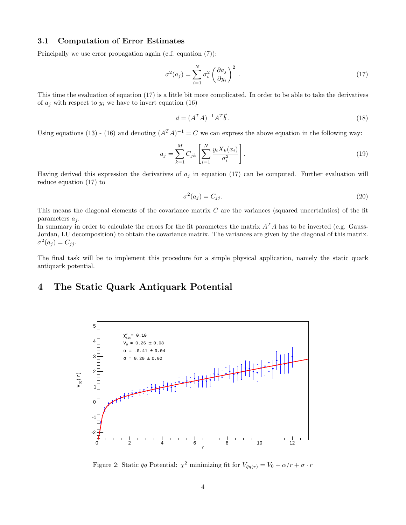#### 3.1 Computation of Error Estimates

Principally we use error propagation again (c.f. equation [\(7\)](#page-1-1)):

$$
\sigma^2(a_j) = \sum_{i=1}^N \sigma_i^2 \left(\frac{\partial a_j}{\partial y_i}\right)^2 \,. \tag{17}
$$

This time the evaluation of equation [\(17\)](#page-3-0) is a little bit more complicated. In order to be able to take the derivatives of  $a_i$  with respect to  $y_i$  we have to invert equation [\(16\)](#page-2-2)

<span id="page-3-0"></span>
$$
\vec{a} = (A^T A)^{-1} A^T \vec{b} \,. \tag{18}
$$

Using equations [\(13\)](#page-2-3) - [\(16\)](#page-2-2) and denoting  $(A^T A)^{-1} = C$  we can express the above equation in the following way:

$$
a_j = \sum_{k=1}^{M} C_{jk} \left[ \sum_{i=1}^{N} \frac{y_i X_k(x_i)}{\sigma_i^2} \right].
$$
 (19)

Having derived this expression the derivatives of  $a_j$  in equation [\(17\)](#page-3-0) can be computed. Further evaluation will reduce equation [\(17\)](#page-3-0) to

$$
\sigma^2(a_j) = C_{jj}.\tag{20}
$$

This means the diagonal elements of the covariance matrix  $C$  are the variances (squared uncertainties) of the fit parameters  $a_i$ .

In summary in order to calculate the errors for the fit parameters the matrix  $A<sup>T</sup>A$  has to be inverted (e.g. Gauss-Jordan, LU decomposition) to obtain the covariance matrix. The variances are given by the diagonal of this matrix.  $\sigma^2(a_j) = C_{jj}.$ 

The final task will be to implement this procedure for a simple physical application, namely the static quark antiquark potential.

# 4 The Static Quark Antiquark Potential



Figure 2: Static  $\bar{q}q$  Potential:  $\chi^2$  minimizing fit for  $V_{\bar{q}q(r)} = V_0 + \alpha/r + \sigma \cdot r$